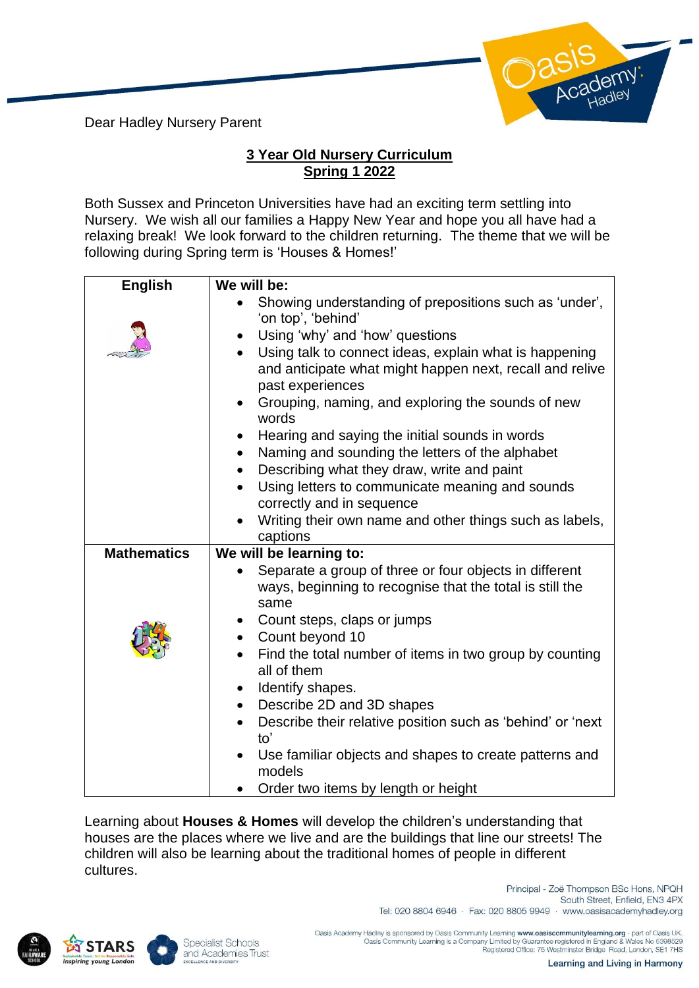Dear Hadley Nursery Parent



## **3 Year Old Nursery Curriculum Spring 1 2022**

Both Sussex and Princeton Universities have had an exciting term settling into Nursery. We wish all our families a Happy New Year and hope you all have had a relaxing break! We look forward to the children returning. The theme that we will be following during Spring term is 'Houses & Homes!'

| <b>English</b>     | We will be:                                                                  |
|--------------------|------------------------------------------------------------------------------|
|                    | Showing understanding of prepositions such as 'under',                       |
|                    | 'on top', 'behind'                                                           |
|                    | Using 'why' and 'how' questions                                              |
|                    | Using talk to connect ideas, explain what is happening<br>$\bullet$          |
|                    | and anticipate what might happen next, recall and relive<br>past experiences |
|                    | Grouping, naming, and exploring the sounds of new                            |
|                    | words                                                                        |
|                    | Hearing and saying the initial sounds in words                               |
|                    | Naming and sounding the letters of the alphabet<br>$\bullet$                 |
|                    | Describing what they draw, write and paint<br>$\bullet$                      |
|                    | Using letters to communicate meaning and sounds                              |
|                    | correctly and in sequence                                                    |
|                    | Writing their own name and other things such as labels,                      |
|                    | captions                                                                     |
| <b>Mathematics</b> | We will be learning to:                                                      |
|                    | Separate a group of three or four objects in different                       |
|                    | ways, beginning to recognise that the total is still the<br>same             |
|                    | Count steps, claps or jumps                                                  |
|                    | Count beyond 10<br>$\bullet$                                                 |
|                    | Find the total number of items in two group by counting                      |
|                    | all of them                                                                  |
|                    | Identify shapes.<br>$\bullet$                                                |
|                    | Describe 2D and 3D shapes<br>$\bullet$                                       |
|                    | Describe their relative position such as 'behind' or 'next                   |
|                    | to'                                                                          |
|                    | Use familiar objects and shapes to create patterns and                       |
|                    | models                                                                       |
|                    | Order two items by length or height                                          |

Learning about **Houses & Homes** will develop the children's understanding that houses are the places where we live and are the buildings that line our streets! The children will also be learning about the traditional homes of people in different cultures.





South Street, Enfield, EN3 4PX Tel: 020 8804 6946 · Fax: 020 8805 9949 · www.oasisacademyhadley.org

Principal - Zoë Thompson BSc Hons, NPQH